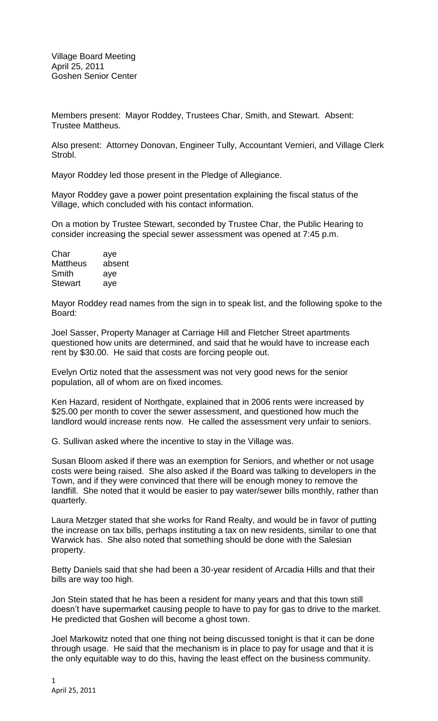Members present: Mayor Roddey, Trustees Char, Smith, and Stewart. Absent: Trustee Mattheus.

Also present: Attorney Donovan, Engineer Tully, Accountant Vernieri, and Village Clerk Strobl.

Mayor Roddey led those present in the Pledge of Allegiance.

Mayor Roddey gave a power point presentation explaining the fiscal status of the Village, which concluded with his contact information.

On a motion by Trustee Stewart, seconded by Trustee Char, the Public Hearing to consider increasing the special sewer assessment was opened at 7:45 p.m.

| Char            | aye    |
|-----------------|--------|
| <b>Mattheus</b> | absent |
| Smith           | aye    |
| <b>Stewart</b>  | aye    |

Mayor Roddey read names from the sign in to speak list, and the following spoke to the Board:

Joel Sasser, Property Manager at Carriage Hill and Fletcher Street apartments questioned how units are determined, and said that he would have to increase each rent by \$30.00. He said that costs are forcing people out.

Evelyn Ortiz noted that the assessment was not very good news for the senior population, all of whom are on fixed incomes.

Ken Hazard, resident of Northgate, explained that in 2006 rents were increased by \$25.00 per month to cover the sewer assessment, and questioned how much the landlord would increase rents now. He called the assessment very unfair to seniors.

G. Sullivan asked where the incentive to stay in the Village was.

Susan Bloom asked if there was an exemption for Seniors, and whether or not usage costs were being raised. She also asked if the Board was talking to developers in the Town, and if they were convinced that there will be enough money to remove the landfill. She noted that it would be easier to pay water/sewer bills monthly, rather than quarterly.

Laura Metzger stated that she works for Rand Realty, and would be in favor of putting the increase on tax bills, perhaps instituting a tax on new residents, similar to one that Warwick has. She also noted that something should be done with the Salesian property.

Betty Daniels said that she had been a 30-year resident of Arcadia Hills and that their bills are way too high.

Jon Stein stated that he has been a resident for many years and that this town still doesn't have supermarket causing people to have to pay for gas to drive to the market. He predicted that Goshen will become a ghost town.

Joel Markowitz noted that one thing not being discussed tonight is that it can be done through usage. He said that the mechanism is in place to pay for usage and that it is the only equitable way to do this, having the least effect on the business community.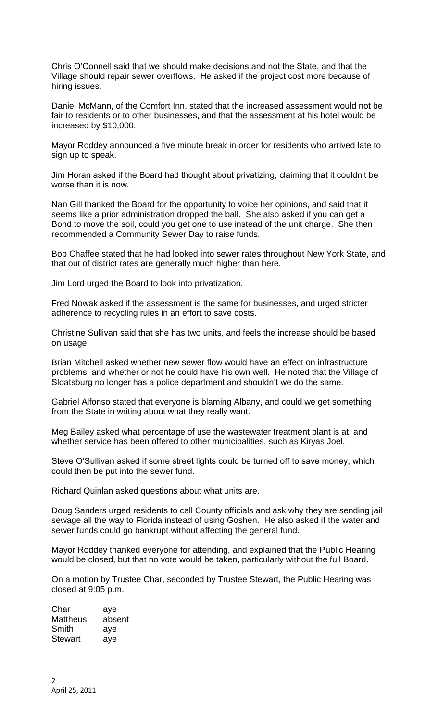Chris O'Connell said that we should make decisions and not the State, and that the Village should repair sewer overflows. He asked if the project cost more because of hiring issues.

Daniel McMann, of the Comfort Inn, stated that the increased assessment would not be fair to residents or to other businesses, and that the assessment at his hotel would be increased by \$10,000.

Mayor Roddey announced a five minute break in order for residents who arrived late to sign up to speak.

Jim Horan asked if the Board had thought about privatizing, claiming that it couldn't be worse than it is now.

Nan Gill thanked the Board for the opportunity to voice her opinions, and said that it seems like a prior administration dropped the ball. She also asked if you can get a Bond to move the soil, could you get one to use instead of the unit charge. She then recommended a Community Sewer Day to raise funds.

Bob Chaffee stated that he had looked into sewer rates throughout New York State, and that out of district rates are generally much higher than here.

Jim Lord urged the Board to look into privatization.

Fred Nowak asked if the assessment is the same for businesses, and urged stricter adherence to recycling rules in an effort to save costs.

Christine Sullivan said that she has two units, and feels the increase should be based on usage.

Brian Mitchell asked whether new sewer flow would have an effect on infrastructure problems, and whether or not he could have his own well. He noted that the Village of Sloatsburg no longer has a police department and shouldn't we do the same.

Gabriel Alfonso stated that everyone is blaming Albany, and could we get something from the State in writing about what they really want.

Meg Bailey asked what percentage of use the wastewater treatment plant is at, and whether service has been offered to other municipalities, such as Kiryas Joel.

Steve O'Sullivan asked if some street lights could be turned off to save money, which could then be put into the sewer fund.

Richard Quinlan asked questions about what units are.

Doug Sanders urged residents to call County officials and ask why they are sending jail sewage all the way to Florida instead of using Goshen. He also asked if the water and sewer funds could go bankrupt without affecting the general fund.

Mayor Roddey thanked everyone for attending, and explained that the Public Hearing would be closed, but that no vote would be taken, particularly without the full Board.

On a motion by Trustee Char, seconded by Trustee Stewart, the Public Hearing was closed at 9:05 p.m.

Char aye Mattheus absent Smith aye Stewart aye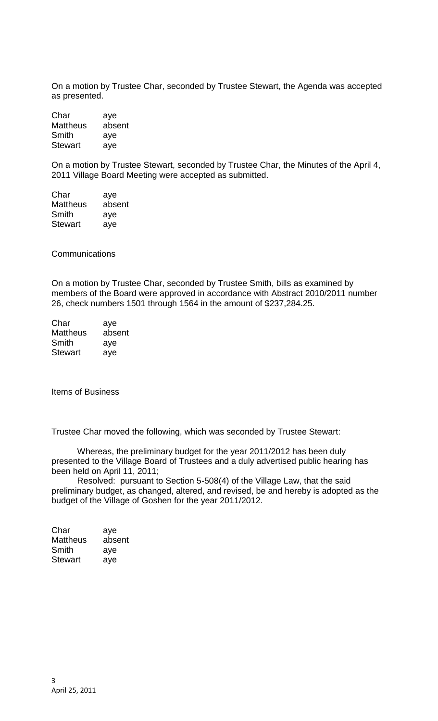On a motion by Trustee Char, seconded by Trustee Stewart, the Agenda was accepted as presented.

Char aye Mattheus absent Smith aye Stewart aye

On a motion by Trustee Stewart, seconded by Trustee Char, the Minutes of the April 4, 2011 Village Board Meeting were accepted as submitted.

Char aye Mattheus absent Smith aye Stewart aye

**Communications** 

On a motion by Trustee Char, seconded by Trustee Smith, bills as examined by members of the Board were approved in accordance with Abstract 2010/2011 number 26, check numbers 1501 through 1564 in the amount of \$237,284.25.

| Char            | aye    |
|-----------------|--------|
| <b>Mattheus</b> | absent |
| Smith           | aye    |
| <b>Stewart</b>  | aye    |

Items of Business

Trustee Char moved the following, which was seconded by Trustee Stewart:

Whereas, the preliminary budget for the year 2011/2012 has been duly presented to the Village Board of Trustees and a duly advertised public hearing has been held on April 11, 2011;

Resolved: pursuant to Section 5-508(4) of the Village Law, that the said preliminary budget, as changed, altered, and revised, be and hereby is adopted as the budget of the Village of Goshen for the year 2011/2012.

| Char            | aye    |
|-----------------|--------|
| <b>Mattheus</b> | absent |
| Smith           | aye    |
| <b>Stewart</b>  | aye    |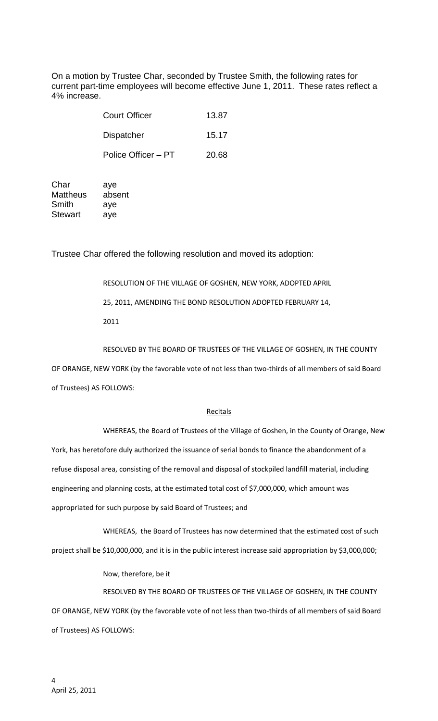On a motion by Trustee Char, seconded by Trustee Smith, the following rates for current part-time employees will become effective June 1, 2011. These rates reflect a 4% increase.

| <b>Court Officer</b> | 13.87 |
|----------------------|-------|
| Dispatcher           | 15.17 |
| Police Officer – PT  | 20.68 |

Char aye Mattheus absent Smith aye Stewart aye

Trustee Char offered the following resolution and moved its adoption:

RESOLUTION OF THE VILLAGE OF GOSHEN, NEW YORK, ADOPTED APRIL 25, 2011, AMENDING THE BOND RESOLUTION ADOPTED FEBRUARY 14, 2011

RESOLVED BY THE BOARD OF TRUSTEES OF THE VILLAGE OF GOSHEN, IN THE COUNTY

OF ORANGE, NEW YORK (by the favorable vote of not less than two-thirds of all members of said Board of Trustees) AS FOLLOWS:

## **Recitals**

WHEREAS, the Board of Trustees of the Village of Goshen, in the County of Orange, New York, has heretofore duly authorized the issuance of serial bonds to finance the abandonment of a refuse disposal area, consisting of the removal and disposal of stockpiled landfill material, including engineering and planning costs, at the estimated total cost of \$7,000,000, which amount was appropriated for such purpose by said Board of Trustees; and

WHEREAS, the Board of Trustees has now determined that the estimated cost of such project shall be \$10,000,000, and it is in the public interest increase said appropriation by \$3,000,000;

Now, therefore, be it

RESOLVED BY THE BOARD OF TRUSTEES OF THE VILLAGE OF GOSHEN, IN THE COUNTY OF ORANGE, NEW YORK (by the favorable vote of not less than two-thirds of all members of said Board of Trustees) AS FOLLOWS: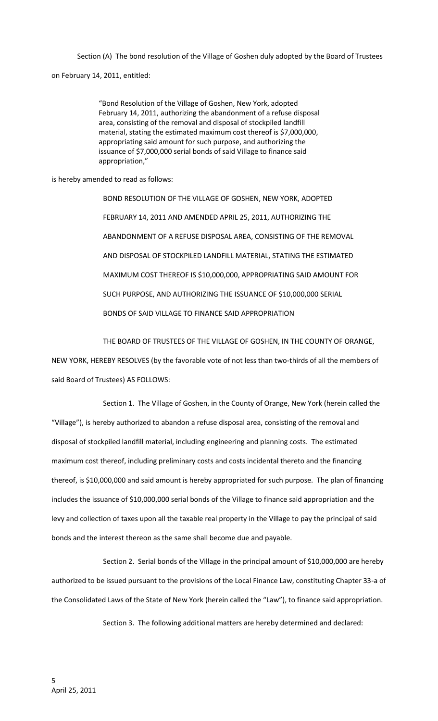Section (A) The bond resolution of the Village of Goshen duly adopted by the Board of Trustees

on February 14, 2011, entitled:

"Bond Resolution of the Village of Goshen, New York, adopted February 14, 2011, authorizing the abandonment of a refuse disposal area, consisting of the removal and disposal of stockpiled landfill material, stating the estimated maximum cost thereof is \$7,000,000, appropriating said amount for such purpose, and authorizing the issuance of \$7,000,000 serial bonds of said Village to finance said appropriation,"

is hereby amended to read as follows:

BOND RESOLUTION OF THE VILLAGE OF GOSHEN, NEW YORK, ADOPTED FEBRUARY 14, 2011 AND AMENDED APRIL 25, 2011, AUTHORIZING THE ABANDONMENT OF A REFUSE DISPOSAL AREA, CONSISTING OF THE REMOVAL AND DISPOSAL OF STOCKPILED LANDFILL MATERIAL, STATING THE ESTIMATED MAXIMUM COST THEREOF IS \$10,000,000, APPROPRIATING SAID AMOUNT FOR SUCH PURPOSE, AND AUTHORIZING THE ISSUANCE OF \$10,000,000 SERIAL BONDS OF SAID VILLAGE TO FINANCE SAID APPROPRIATION

THE BOARD OF TRUSTEES OF THE VILLAGE OF GOSHEN, IN THE COUNTY OF ORANGE,

NEW YORK, HEREBY RESOLVES (by the favorable vote of not less than two-thirds of all the members of said Board of Trustees) AS FOLLOWS:

Section 1. The Village of Goshen, in the County of Orange, New York (herein called the "Village"), is hereby authorized to abandon a refuse disposal area, consisting of the removal and disposal of stockpiled landfill material, including engineering and planning costs. The estimated maximum cost thereof, including preliminary costs and costs incidental thereto and the financing thereof, is \$10,000,000 and said amount is hereby appropriated for such purpose. The plan of financing includes the issuance of \$10,000,000 serial bonds of the Village to finance said appropriation and the levy and collection of taxes upon all the taxable real property in the Village to pay the principal of said bonds and the interest thereon as the same shall become due and payable.

Section 2. Serial bonds of the Village in the principal amount of \$10,000,000 are hereby authorized to be issued pursuant to the provisions of the Local Finance Law, constituting Chapter 33-a of the Consolidated Laws of the State of New York (herein called the "Law"), to finance said appropriation.

Section 3. The following additional matters are hereby determined and declared: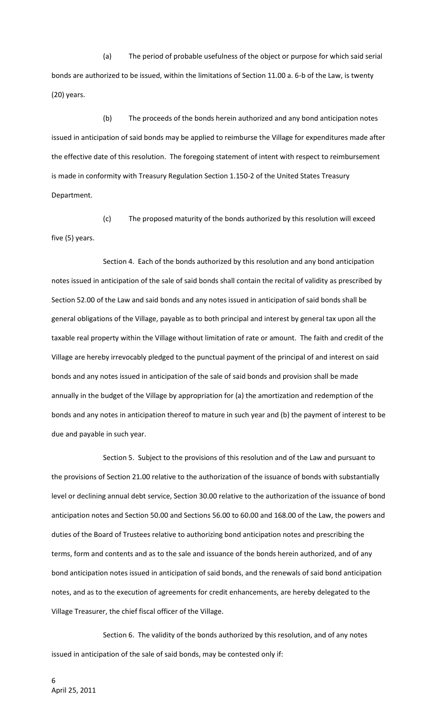(a) The period of probable usefulness of the object or purpose for which said serial bonds are authorized to be issued, within the limitations of Section 11.00 a. 6-b of the Law, is twenty (20) years.

(b) The proceeds of the bonds herein authorized and any bond anticipation notes issued in anticipation of said bonds may be applied to reimburse the Village for expenditures made after the effective date of this resolution. The foregoing statement of intent with respect to reimbursement is made in conformity with Treasury Regulation Section 1.150-2 of the United States Treasury Department.

(c) The proposed maturity of the bonds authorized by this resolution will exceed five (5) years.

Section 4. Each of the bonds authorized by this resolution and any bond anticipation notes issued in anticipation of the sale of said bonds shall contain the recital of validity as prescribed by Section 52.00 of the Law and said bonds and any notes issued in anticipation of said bonds shall be general obligations of the Village, payable as to both principal and interest by general tax upon all the taxable real property within the Village without limitation of rate or amount. The faith and credit of the Village are hereby irrevocably pledged to the punctual payment of the principal of and interest on said bonds and any notes issued in anticipation of the sale of said bonds and provision shall be made annually in the budget of the Village by appropriation for (a) the amortization and redemption of the bonds and any notes in anticipation thereof to mature in such year and (b) the payment of interest to be due and payable in such year.

Section 5. Subject to the provisions of this resolution and of the Law and pursuant to the provisions of Section 21.00 relative to the authorization of the issuance of bonds with substantially level or declining annual debt service, Section 30.00 relative to the authorization of the issuance of bond anticipation notes and Section 50.00 and Sections 56.00 to 60.00 and 168.00 of the Law, the powers and duties of the Board of Trustees relative to authorizing bond anticipation notes and prescribing the terms, form and contents and as to the sale and issuance of the bonds herein authorized, and of any bond anticipation notes issued in anticipation of said bonds, and the renewals of said bond anticipation notes, and as to the execution of agreements for credit enhancements, are hereby delegated to the Village Treasurer, the chief fiscal officer of the Village.

Section 6. The validity of the bonds authorized by this resolution, and of any notes issued in anticipation of the sale of said bonds, may be contested only if: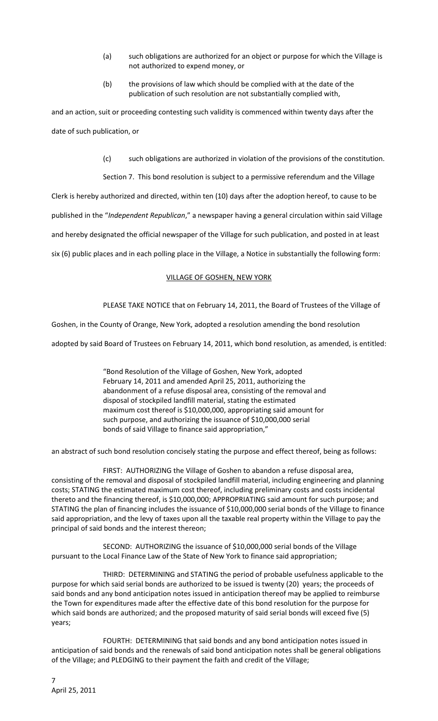- (a) such obligations are authorized for an object or purpose for which the Village is not authorized to expend money, or
- (b) the provisions of law which should be complied with at the date of the publication of such resolution are not substantially complied with,

and an action, suit or proceeding contesting such validity is commenced within twenty days after the date of such publication, or

(c) such obligations are authorized in violation of the provisions of the constitution.

Section 7. This bond resolution is subject to a permissive referendum and the Village

Clerk is hereby authorized and directed, within ten (10) days after the adoption hereof, to cause to be

published in the "*Independent Republican*," a newspaper having a general circulation within said Village

and hereby designated the official newspaper of the Village for such publication, and posted in at least

six (6) public places and in each polling place in the Village, a Notice in substantially the following form:

## VILLAGE OF GOSHEN, NEW YORK

PLEASE TAKE NOTICE that on February 14, 2011, the Board of Trustees of the Village of

Goshen, in the County of Orange, New York, adopted a resolution amending the bond resolution

adopted by said Board of Trustees on February 14, 2011, which bond resolution, as amended, is entitled:

"Bond Resolution of the Village of Goshen, New York, adopted February 14, 2011 and amended April 25, 2011, authorizing the abandonment of a refuse disposal area, consisting of the removal and disposal of stockpiled landfill material, stating the estimated maximum cost thereof is \$10,000,000, appropriating said amount for such purpose, and authorizing the issuance of \$10,000,000 serial bonds of said Village to finance said appropriation,"

an abstract of such bond resolution concisely stating the purpose and effect thereof, being as follows:

FIRST: AUTHORIZING the Village of Goshen to abandon a refuse disposal area, consisting of the removal and disposal of stockpiled landfill material, including engineering and planning costs; STATING the estimated maximum cost thereof, including preliminary costs and costs incidental thereto and the financing thereof, is \$10,000,000; APPROPRIATING said amount for such purpose; and STATING the plan of financing includes the issuance of \$10,000,000 serial bonds of the Village to finance said appropriation, and the levy of taxes upon all the taxable real property within the Village to pay the principal of said bonds and the interest thereon;

SECOND: AUTHORIZING the issuance of \$10,000,000 serial bonds of the Village pursuant to the Local Finance Law of the State of New York to finance said appropriation;

THIRD: DETERMINING and STATING the period of probable usefulness applicable to the purpose for which said serial bonds are authorized to be issued is twenty (20) years; the proceeds of said bonds and any bond anticipation notes issued in anticipation thereof may be applied to reimburse the Town for expenditures made after the effective date of this bond resolution for the purpose for which said bonds are authorized; and the proposed maturity of said serial bonds will exceed five (5) years;

FOURTH: DETERMINING that said bonds and any bond anticipation notes issued in anticipation of said bonds and the renewals of said bond anticipation notes shall be general obligations of the Village; and PLEDGING to their payment the faith and credit of the Village;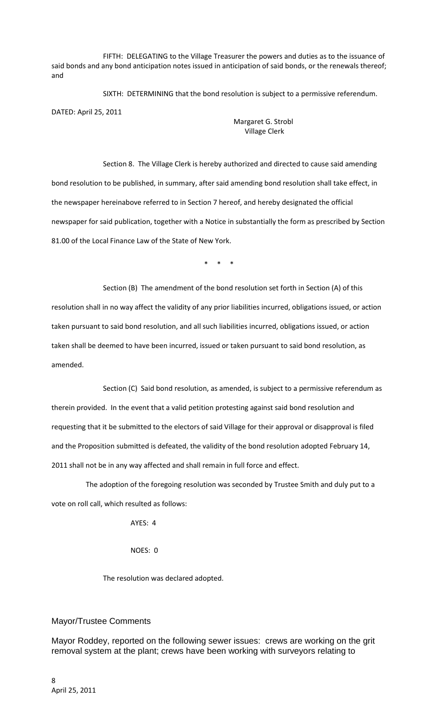FIFTH: DELEGATING to the Village Treasurer the powers and duties as to the issuance of said bonds and any bond anticipation notes issued in anticipation of said bonds, or the renewals thereof; and

SIXTH: DETERMINING that the bond resolution is subject to a permissive referendum. DATED: April 25, 2011

> Margaret G. Strobl Village Clerk

Section 8. The Village Clerk is hereby authorized and directed to cause said amending bond resolution to be published, in summary, after said amending bond resolution shall take effect, in the newspaper hereinabove referred to in Section 7 hereof, and hereby designated the official newspaper for said publication, together with a Notice in substantially the form as prescribed by Section 81.00 of the Local Finance Law of the State of New York.

\* \* \*

Section (B) The amendment of the bond resolution set forth in Section (A) of this resolution shall in no way affect the validity of any prior liabilities incurred, obligations issued, or action taken pursuant to said bond resolution, and all such liabilities incurred, obligations issued, or action taken shall be deemed to have been incurred, issued or taken pursuant to said bond resolution, as amended.

Section (C) Said bond resolution, as amended, is subject to a permissive referendum as therein provided. In the event that a valid petition protesting against said bond resolution and requesting that it be submitted to the electors of said Village for their approval or disapproval is filed and the Proposition submitted is defeated, the validity of the bond resolution adopted February 14, 2011 shall not be in any way affected and shall remain in full force and effect.

The adoption of the foregoing resolution was seconded by Trustee Smith and duly put to a vote on roll call, which resulted as follows:

 $\triangle VFS$   $\cdot$   $\triangle$ 

NOES: 0

The resolution was declared adopted.

## Mayor/Trustee Comments

Mayor Roddey, reported on the following sewer issues: crews are working on the grit removal system at the plant; crews have been working with surveyors relating to